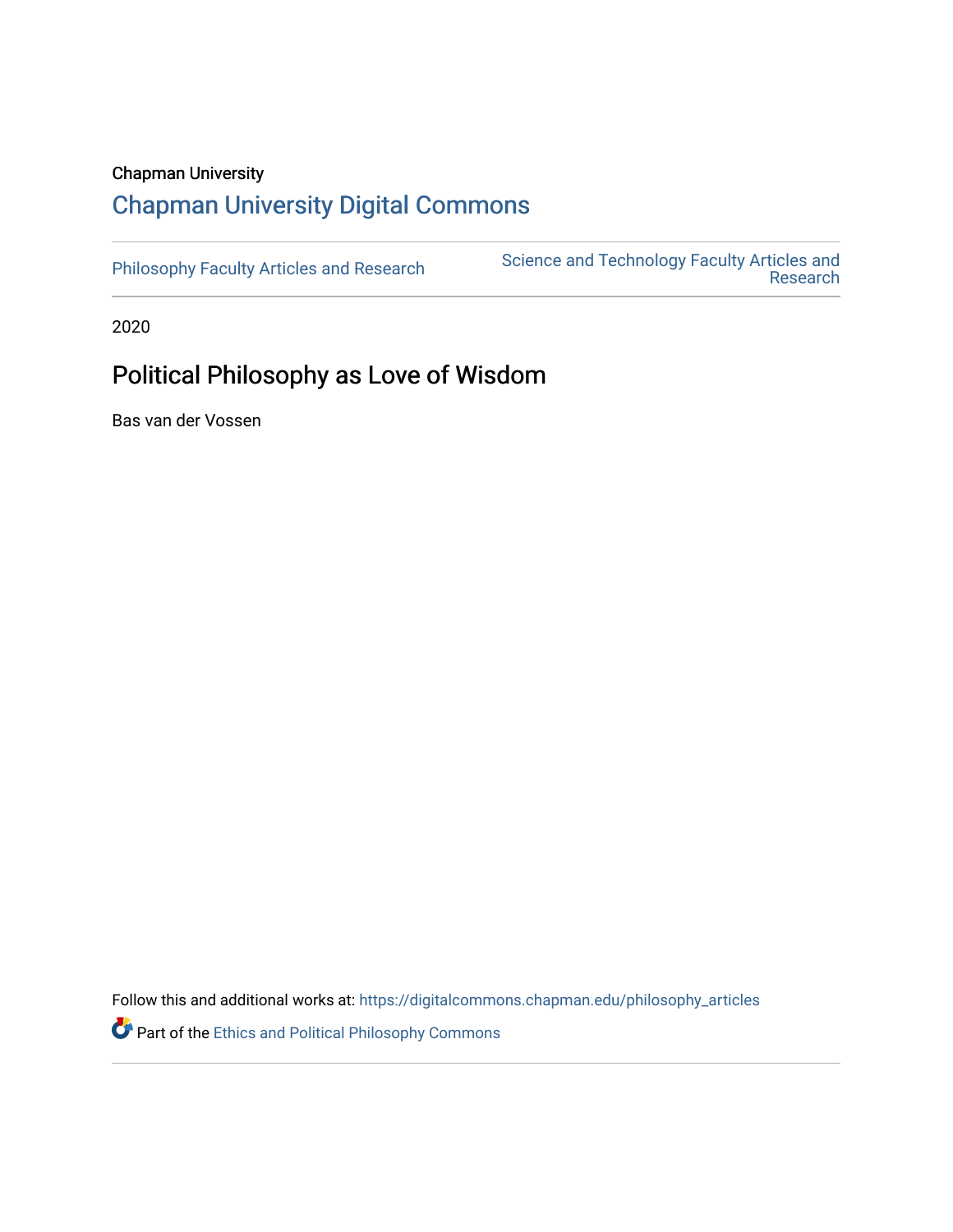# Chapman University

# [Chapman University Digital Commons](https://digitalcommons.chapman.edu/)

[Philosophy Faculty Articles and Research](https://digitalcommons.chapman.edu/philosophy_articles) Science and Technology Faculty Articles and [Research](https://digitalcommons.chapman.edu/science_articles) 

2020

# Political Philosophy as Love of Wisdom

Bas van der Vossen

Follow this and additional works at: [https://digitalcommons.chapman.edu/philosophy\\_articles](https://digitalcommons.chapman.edu/philosophy_articles?utm_source=digitalcommons.chapman.edu%2Fphilosophy_articles%2F68&utm_medium=PDF&utm_campaign=PDFCoverPages)

**P** Part of the Ethics and Political Philosophy Commons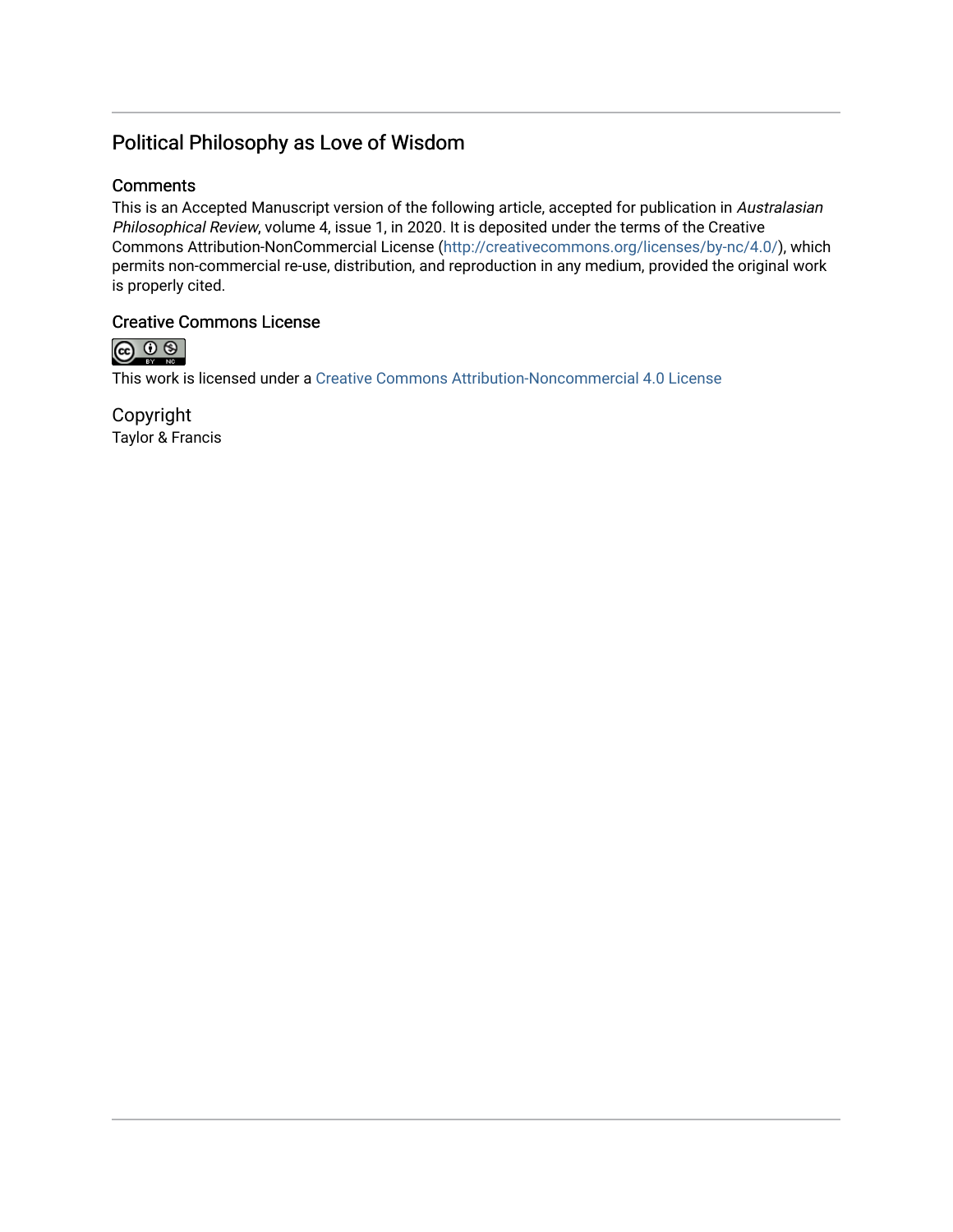# Political Philosophy as Love of Wisdom

## **Comments**

This is an Accepted Manuscript version of the following article, accepted for publication in Australasian Philosophical Review, volume 4, issue 1, in 2020. It is deposited under the terms of the Creative Commons Attribution-NonCommercial License ([http://creativecommons.org/licenses/by-nc/4.0/](https://creativecommons.org/licenses/by-nc/4.0/)), which permits non-commercial re-use, distribution, and reproduction in any medium, provided the original work is properly cited.

# Creative Commons License



This work is licensed under a [Creative Commons Attribution-Noncommercial 4.0 License](https://creativecommons.org/licenses/by-nc/4.0/) 

Copyright Taylor & Francis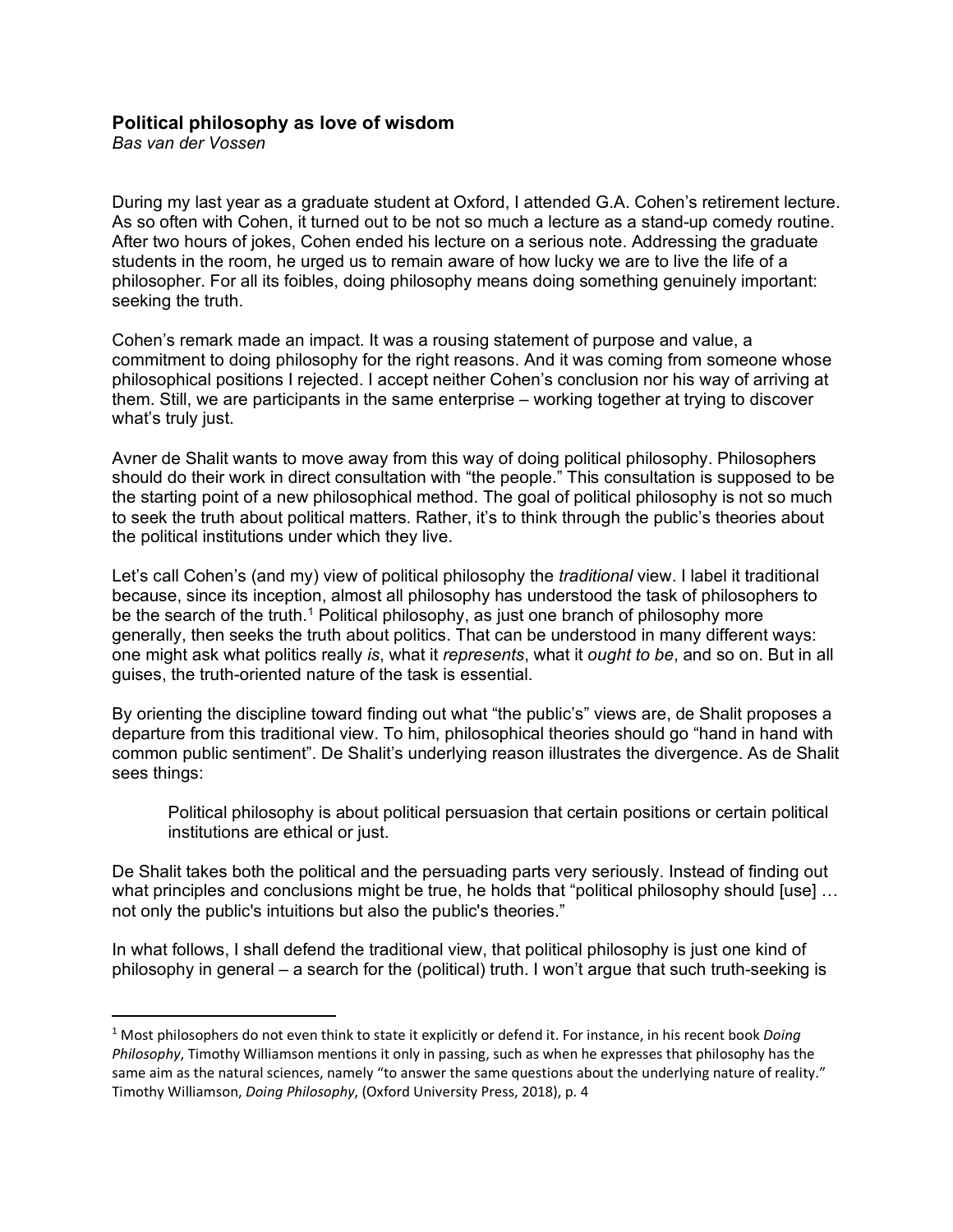## **Political philosophy as love of wisdom**

*Bas van der Vossen*

During my last year as a graduate student at Oxford, I attended G.A. Cohen's retirement lecture. As so often with Cohen, it turned out to be not so much a lecture as a stand-up comedy routine. After two hours of jokes, Cohen ended his lecture on a serious note. Addressing the graduate students in the room, he urged us to remain aware of how lucky we are to live the life of a philosopher. For all its foibles, doing philosophy means doing something genuinely important: seeking the truth.

Cohen's remark made an impact. It was a rousing statement of purpose and value, a commitment to doing philosophy for the right reasons. And it was coming from someone whose philosophical positions I rejected. I accept neither Cohen's conclusion nor his way of arriving at them. Still, we are participants in the same enterprise – working together at trying to discover what's truly just.

Avner de Shalit wants to move away from this way of doing political philosophy. Philosophers should do their work in direct consultation with "the people." This consultation is supposed to be the starting point of a new philosophical method. The goal of political philosophy is not so much to seek the truth about political matters. Rather, it's to think through the public's theories about the political institutions under which they live.

Let's call Cohen's (and my) view of political philosophy the *traditional* view. I label it traditional because, since its inception, almost all philosophy has understood the task of philosophers to be the search of the truth.<sup>[1](#page-2-0)</sup> Political philosophy, as just one branch of philosophy more generally, then seeks the truth about politics. That can be understood in many different ways: one might ask what politics really *is*, what it *represents*, what it *ought to be*, and so on. But in all guises, the truth-oriented nature of the task is essential.

By orienting the discipline toward finding out what "the public's" views are, de Shalit proposes a departure from this traditional view. To him, philosophical theories should go "hand in hand with common public sentiment". De Shalit's underlying reason illustrates the divergence. As de Shalit sees things:

Political philosophy is about political persuasion that certain positions or certain political institutions are ethical or just.

De Shalit takes both the political and the persuading parts very seriously. Instead of finding out what principles and conclusions might be true, he holds that "political philosophy should [use] ... not only the public's intuitions but also the public's theories."

In what follows, I shall defend the traditional view, that political philosophy is just one kind of philosophy in general – a search for the (political) truth. I won't argue that such truth-seeking is

<span id="page-2-0"></span><sup>1</sup> Most philosophers do not even think to state it explicitly or defend it. For instance, in his recent book *Doing Philosophy*, Timothy Williamson mentions it only in passing, such as when he expresses that philosophy has the same aim as the natural sciences, namely "to answer the same questions about the underlying nature of reality." Timothy Williamson, *Doing Philosophy*, (Oxford University Press, 2018), p. 4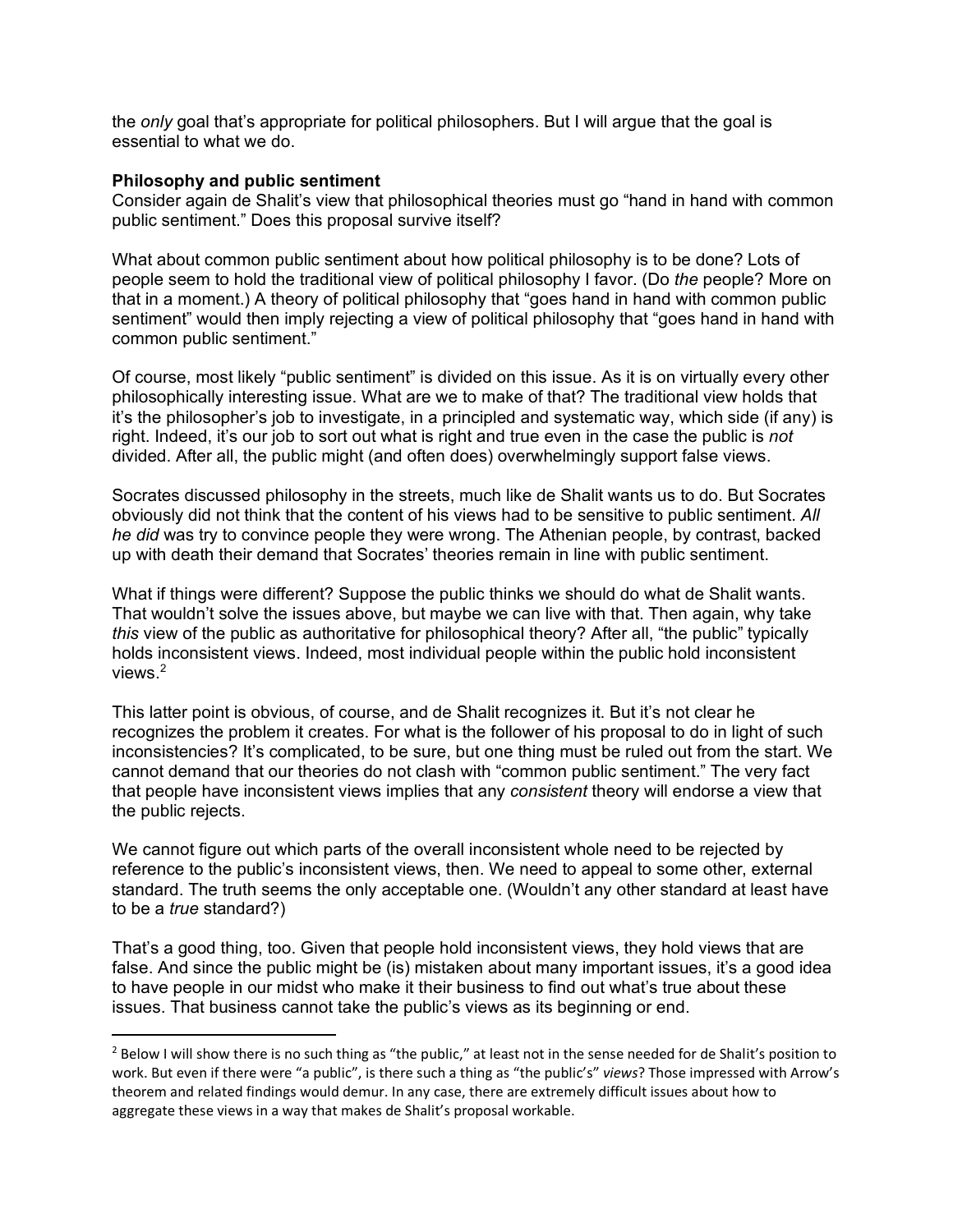the *only* goal that's appropriate for political philosophers. But I will argue that the goal is essential to what we do.

#### **Philosophy and public sentiment**

Consider again de Shalit's view that philosophical theories must go "hand in hand with common public sentiment." Does this proposal survive itself?

What about common public sentiment about how political philosophy is to be done? Lots of people seem to hold the traditional view of political philosophy I favor. (Do *the* people? More on that in a moment.) A theory of political philosophy that "goes hand in hand with common public sentiment" would then imply rejecting a view of political philosophy that "goes hand in hand with common public sentiment."

Of course, most likely "public sentiment" is divided on this issue. As it is on virtually every other philosophically interesting issue. What are we to make of that? The traditional view holds that it's the philosopher's job to investigate, in a principled and systematic way, which side (if any) is right. Indeed, it's our job to sort out what is right and true even in the case the public is *not* divided. After all, the public might (and often does) overwhelmingly support false views.

Socrates discussed philosophy in the streets, much like de Shalit wants us to do. But Socrates obviously did not think that the content of his views had to be sensitive to public sentiment. *All he did* was try to convince people they were wrong. The Athenian people, by contrast, backed up with death their demand that Socrates' theories remain in line with public sentiment.

What if things were different? Suppose the public thinks we should do what de Shalit wants. That wouldn't solve the issues above, but maybe we can live with that. Then again, why take *this* view of the public as authoritative for philosophical theory? After all, "the public" typically holds inconsistent views. Indeed, most individual people within the public hold inconsistent views. [2](#page-3-0)

This latter point is obvious, of course, and de Shalit recognizes it. But it's not clear he recognizes the problem it creates. For what is the follower of his proposal to do in light of such inconsistencies? It's complicated, to be sure, but one thing must be ruled out from the start. We cannot demand that our theories do not clash with "common public sentiment." The very fact that people have inconsistent views implies that any *consistent* theory will endorse a view that the public rejects.

We cannot figure out which parts of the overall inconsistent whole need to be rejected by reference to the public's inconsistent views, then. We need to appeal to some other, external standard. The truth seems the only acceptable one. (Wouldn't any other standard at least have to be a *true* standard?)

That's a good thing, too. Given that people hold inconsistent views, they hold views that are false. And since the public might be (is) mistaken about many important issues, it's a good idea to have people in our midst who make it their business to find out what's true about these issues. That business cannot take the public's views as its beginning or end.

<span id="page-3-0"></span> $2$  Below I will show there is no such thing as "the public," at least not in the sense needed for de Shalit's position to work. But even if there were "a public", is there such a thing as "the public's" *views*? Those impressed with Arrow's theorem and related findings would demur. In any case, there are extremely difficult issues about how to aggregate these views in a way that makes de Shalit's proposal workable.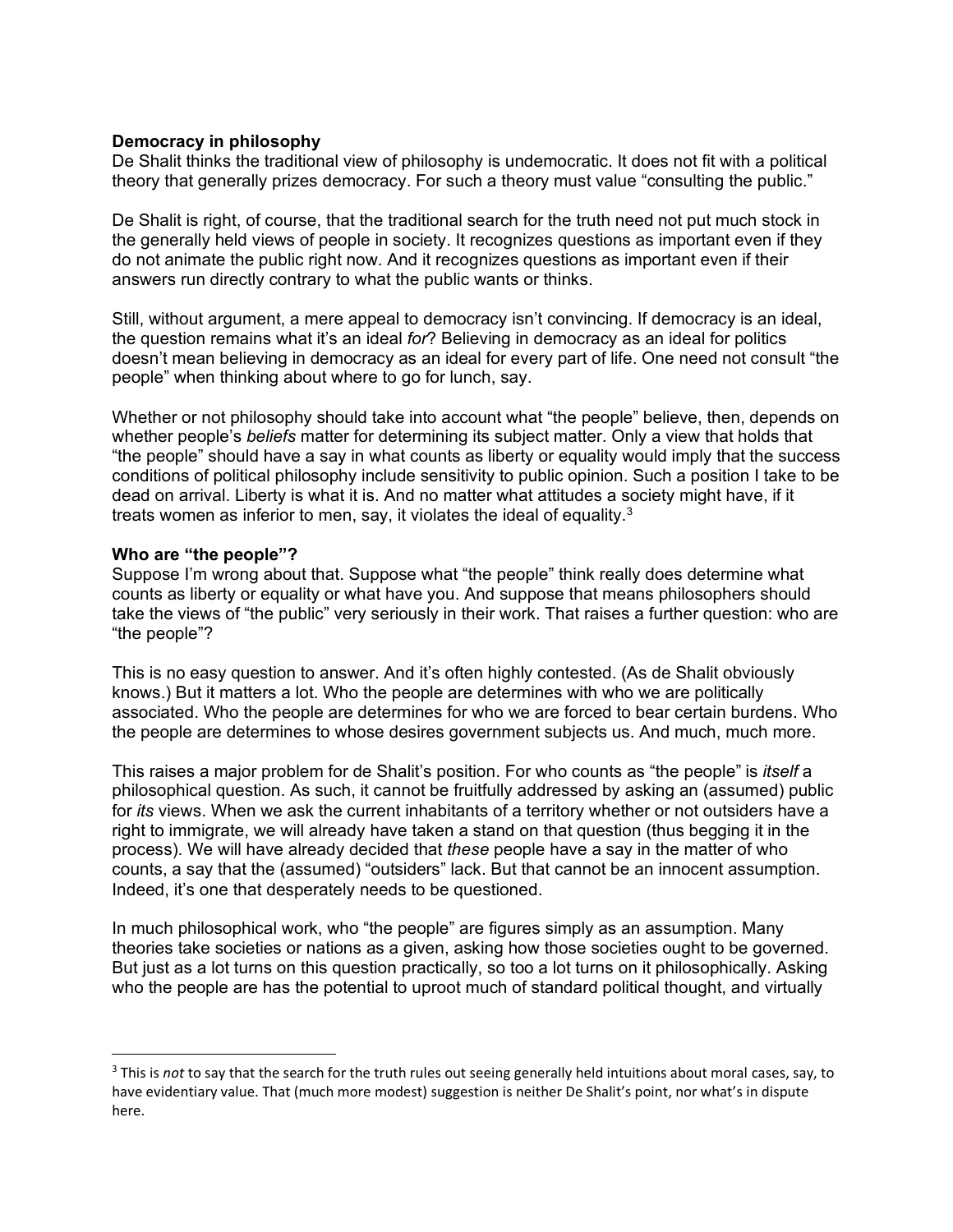### **Democracy in philosophy**

De Shalit thinks the traditional view of philosophy is undemocratic. It does not fit with a political theory that generally prizes democracy. For such a theory must value "consulting the public."

De Shalit is right, of course, that the traditional search for the truth need not put much stock in the generally held views of people in society. It recognizes questions as important even if they do not animate the public right now. And it recognizes questions as important even if their answers run directly contrary to what the public wants or thinks.

Still, without argument, a mere appeal to democracy isn't convincing. If democracy is an ideal, the question remains what it's an ideal *for*? Believing in democracy as an ideal for politics doesn't mean believing in democracy as an ideal for every part of life. One need not consult "the people" when thinking about where to go for lunch, say.

Whether or not philosophy should take into account what "the people" believe, then, depends on whether people's *beliefs* matter for determining its subject matter. Only a view that holds that "the people" should have a say in what counts as liberty or equality would imply that the success conditions of political philosophy include sensitivity to public opinion. Such a position I take to be dead on arrival. Liberty is what it is. And no matter what attitudes a society might have, if it treats women as inferior to men, say, it violates the ideal of equality. $3$ 

#### **Who are "the people"?**

Suppose I'm wrong about that. Suppose what "the people" think really does determine what counts as liberty or equality or what have you. And suppose that means philosophers should take the views of "the public" very seriously in their work. That raises a further question: who are "the people"?

This is no easy question to answer. And it's often highly contested. (As de Shalit obviously knows.) But it matters a lot. Who the people are determines with who we are politically associated. Who the people are determines for who we are forced to bear certain burdens. Who the people are determines to whose desires government subjects us. And much, much more.

This raises a major problem for de Shalit's position. For who counts as "the people" is *itself* a philosophical question. As such, it cannot be fruitfully addressed by asking an (assumed) public for *its* views. When we ask the current inhabitants of a territory whether or not outsiders have a right to immigrate, we will already have taken a stand on that question (thus begging it in the process). We will have already decided that *these* people have a say in the matter of who counts, a say that the (assumed) "outsiders" lack. But that cannot be an innocent assumption. Indeed, it's one that desperately needs to be questioned.

In much philosophical work, who "the people" are figures simply as an assumption. Many theories take societies or nations as a given, asking how those societies ought to be governed. But just as a lot turns on this question practically, so too a lot turns on it philosophically. Asking who the people are has the potential to uproot much of standard political thought, and virtually

<span id="page-4-0"></span><sup>3</sup> This is *not* to say that the search for the truth rules out seeing generally held intuitions about moral cases, say, to have evidentiary value. That (much more modest) suggestion is neither De Shalit's point, nor what's in dispute here.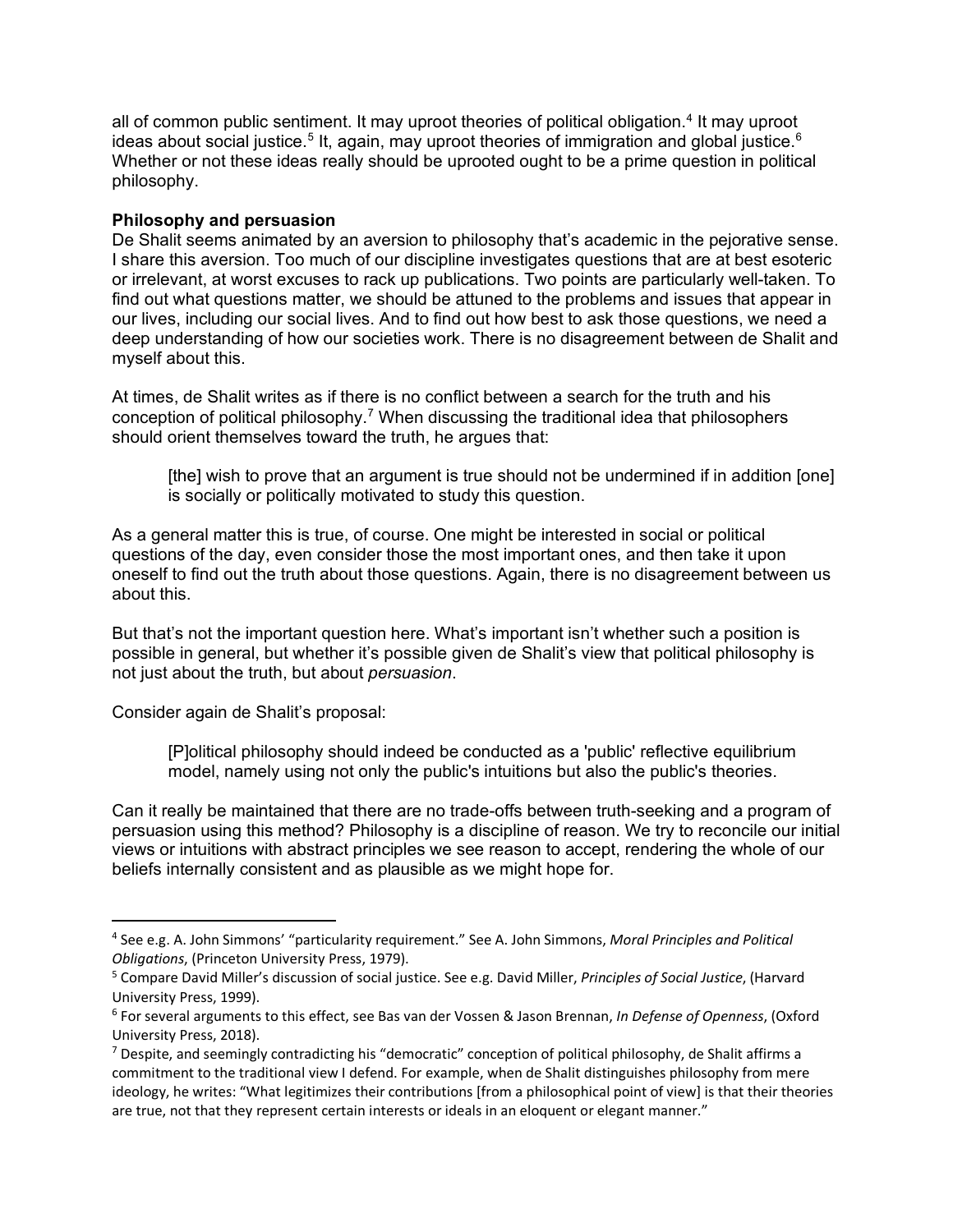all of common public sentiment. It may uproot theories of political obligation.<sup>[4](#page-5-0)</sup> It may uproot ideas about social justice.<sup>[5](#page-5-1)</sup> It, again, may uproot theories of immigration and global justice.<sup>6</sup> Whether or not these ideas really should be uprooted ought to be a prime question in political philosophy.

### **Philosophy and persuasion**

De Shalit seems animated by an aversion to philosophy that's academic in the pejorative sense. I share this aversion. Too much of our discipline investigates questions that are at best esoteric or irrelevant, at worst excuses to rack up publications. Two points are particularly well-taken. To find out what questions matter, we should be attuned to the problems and issues that appear in our lives, including our social lives. And to find out how best to ask those questions, we need a deep understanding of how our societies work. There is no disagreement between de Shalit and myself about this.

At times, de Shalit writes as if there is no conflict between a search for the truth and his conception of political philosophy. [7](#page-5-3) When discussing the traditional idea that philosophers should orient themselves toward the truth, he argues that:

[the] wish to prove that an argument is true should not be undermined if in addition [one] is socially or politically motivated to study this question.

As a general matter this is true, of course. One might be interested in social or political questions of the day, even consider those the most important ones, and then take it upon oneself to find out the truth about those questions. Again, there is no disagreement between us about this.

But that's not the important question here. What's important isn't whether such a position is possible in general, but whether it's possible given de Shalit's view that political philosophy is not just about the truth, but about *persuasion*.

Consider again de Shalit's proposal:

[P]olitical philosophy should indeed be conducted as a 'public' reflective equilibrium model, namely using not only the public's intuitions but also the public's theories.

Can it really be maintained that there are no trade-offs between truth-seeking and a program of persuasion using this method? Philosophy is a discipline of reason. We try to reconcile our initial views or intuitions with abstract principles we see reason to accept, rendering the whole of our beliefs internally consistent and as plausible as we might hope for.

<span id="page-5-0"></span><sup>4</sup> See e.g. A. John Simmons' "particularity requirement." See A. John Simmons, *Moral Principles and Political Obligations*, (Princeton University Press, 1979).

<span id="page-5-1"></span><sup>5</sup> Compare David Miller's discussion of social justice. See e.g. David Miller, *Principles of Social Justice*, (Harvard University Press, 1999).

<span id="page-5-2"></span><sup>6</sup> For several arguments to this effect, see Bas van der Vossen & Jason Brennan, *In Defense of Openness*, (Oxford University Press, 2018).

<span id="page-5-3"></span> $7$  Despite, and seemingly contradicting his "democratic" conception of political philosophy, de Shalit affirms a commitment to the traditional view I defend. For example, when de Shalit distinguishes philosophy from mere ideology, he writes: "What legitimizes their contributions [from a philosophical point of view] is that their theories are true, not that they represent certain interests or ideals in an eloquent or elegant manner."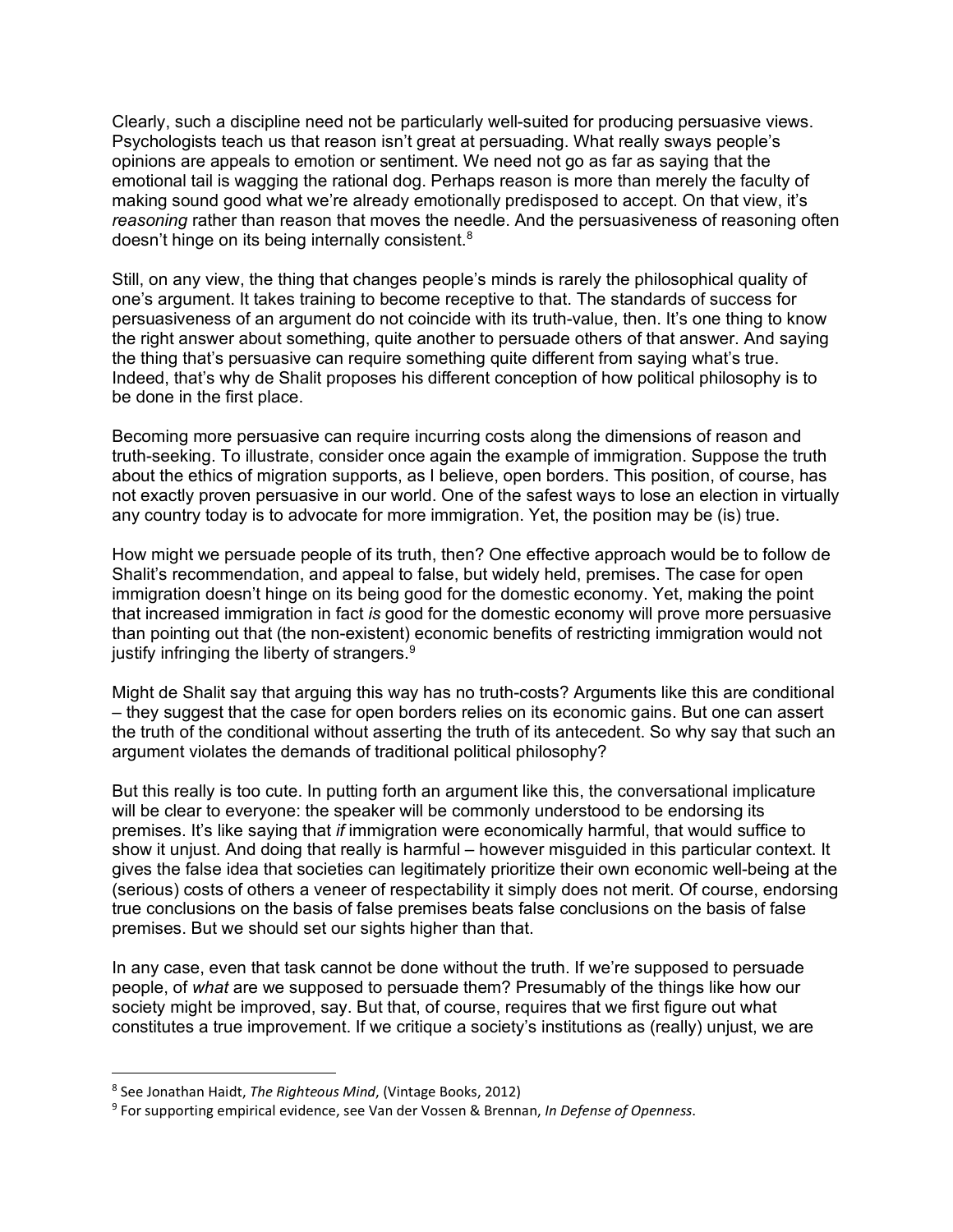Clearly, such a discipline need not be particularly well-suited for producing persuasive views. Psychologists teach us that reason isn't great at persuading. What really sways people's opinions are appeals to emotion or sentiment. We need not go as far as saying that the emotional tail is wagging the rational dog. Perhaps reason is more than merely the faculty of making sound good what we're already emotionally predisposed to accept. On that view, it's *reasoning* rather than reason that moves the needle. And the persuasiveness of reasoning often doesn't hinge on its being internally consistent.<sup>[8](#page-6-0)</sup>

Still, on any view, the thing that changes people's minds is rarely the philosophical quality of one's argument. It takes training to become receptive to that. The standards of success for persuasiveness of an argument do not coincide with its truth-value, then. It's one thing to know the right answer about something, quite another to persuade others of that answer. And saying the thing that's persuasive can require something quite different from saying what's true. Indeed, that's why de Shalit proposes his different conception of how political philosophy is to be done in the first place.

Becoming more persuasive can require incurring costs along the dimensions of reason and truth-seeking. To illustrate, consider once again the example of immigration. Suppose the truth about the ethics of migration supports, as I believe, open borders. This position, of course, has not exactly proven persuasive in our world. One of the safest ways to lose an election in virtually any country today is to advocate for more immigration. Yet, the position may be (is) true.

How might we persuade people of its truth, then? One effective approach would be to follow de Shalit's recommendation, and appeal to false, but widely held, premises. The case for open immigration doesn't hinge on its being good for the domestic economy. Yet, making the point that increased immigration in fact *is* good for the domestic economy will prove more persuasive than pointing out that (the non-existent) economic benefits of restricting immigration would not justify infringing the liberty of strangers. $^9$  $^9$ 

Might de Shalit say that arguing this way has no truth-costs? Arguments like this are conditional – they suggest that the case for open borders relies on its economic gains. But one can assert the truth of the conditional without asserting the truth of its antecedent. So why say that such an argument violates the demands of traditional political philosophy?

But this really is too cute. In putting forth an argument like this, the conversational implicature will be clear to everyone: the speaker will be commonly understood to be endorsing its premises. It's like saying that *if* immigration were economically harmful, that would suffice to show it unjust. And doing that really is harmful – however misguided in this particular context. It gives the false idea that societies can legitimately prioritize their own economic well-being at the (serious) costs of others a veneer of respectability it simply does not merit. Of course, endorsing true conclusions on the basis of false premises beats false conclusions on the basis of false premises. But we should set our sights higher than that.

In any case, even that task cannot be done without the truth. If we're supposed to persuade people, of *what* are we supposed to persuade them? Presumably of the things like how our society might be improved, say. But that, of course, requires that we first figure out what constitutes a true improvement. If we critique a society's institutions as (really) unjust, we are

<span id="page-6-0"></span><sup>8</sup> See Jonathan Haidt, *The Righteous Mind*, (Vintage Books, 2012)

<span id="page-6-1"></span><sup>9</sup> For supporting empirical evidence, see Van der Vossen & Brennan, *In Defense of Openness*.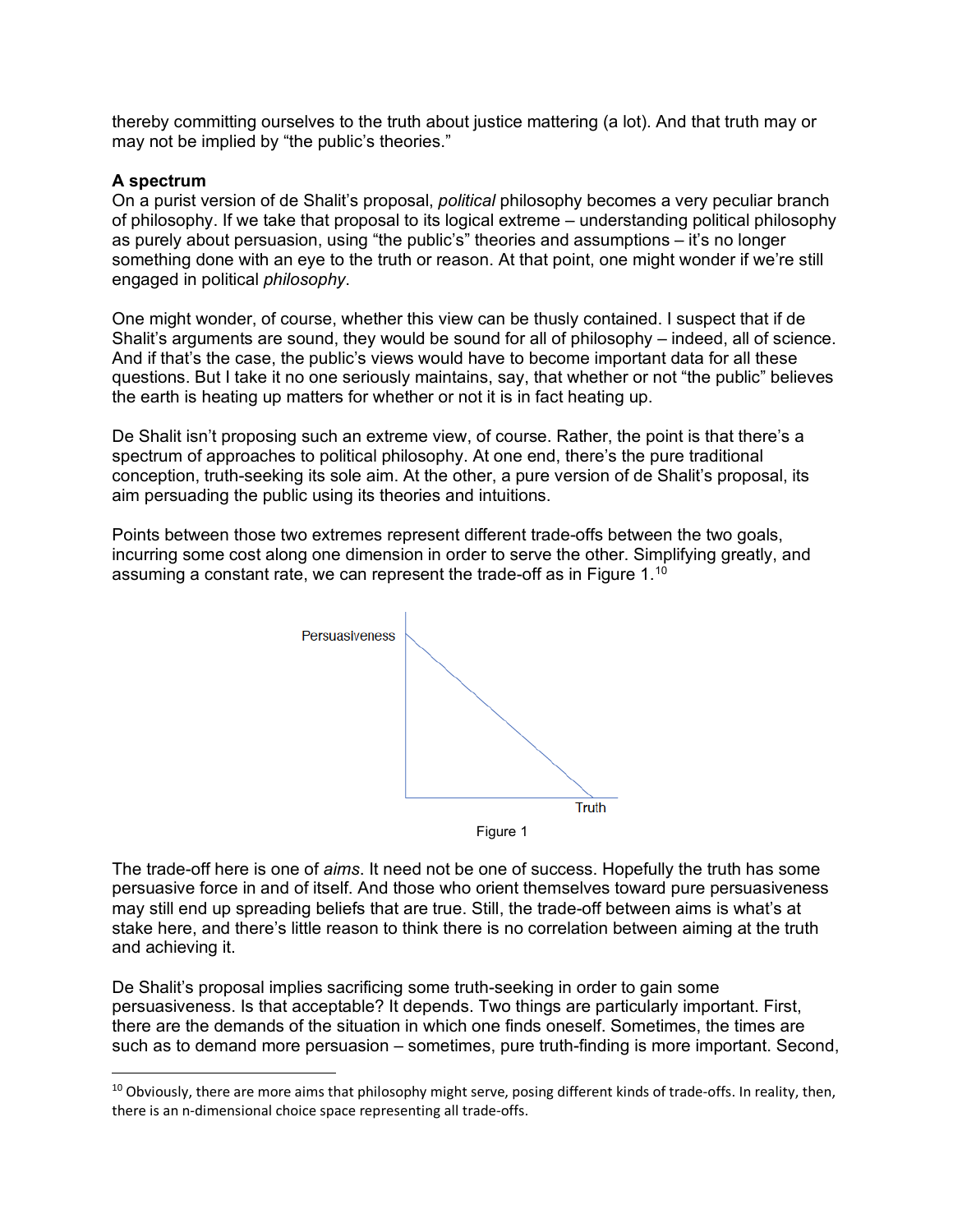thereby committing ourselves to the truth about justice mattering (a lot). And that truth may or may not be implied by "the public's theories."

#### **A spectrum**

On a purist version of de Shalit's proposal, *political* philosophy becomes a very peculiar branch of philosophy. If we take that proposal to its logical extreme – understanding political philosophy as purely about persuasion, using "the public's" theories and assumptions – it's no longer something done with an eye to the truth or reason. At that point, one might wonder if we're still engaged in political *philosophy*.

One might wonder, of course, whether this view can be thusly contained. I suspect that if de Shalit's arguments are sound, they would be sound for all of philosophy – indeed, all of science. And if that's the case, the public's views would have to become important data for all these questions. But I take it no one seriously maintains, say, that whether or not "the public" believes the earth is heating up matters for whether or not it is in fact heating up.

De Shalit isn't proposing such an extreme view, of course. Rather, the point is that there's a spectrum of approaches to political philosophy. At one end, there's the pure traditional conception, truth-seeking its sole aim. At the other, a pure version of de Shalit's proposal, its aim persuading the public using its theories and intuitions.

Points between those two extremes represent different trade-offs between the two goals, incurring some cost along one dimension in order to serve the other. Simplifying greatly, and assuming a constant rate, we can represent the trade-off as in Figure 1.<sup>[10](#page-7-0)</sup>



Figure 1

The trade-off here is one of *aims*. It need not be one of success. Hopefully the truth has some persuasive force in and of itself. And those who orient themselves toward pure persuasiveness may still end up spreading beliefs that are true. Still, the trade-off between aims is what's at stake here, and there's little reason to think there is no correlation between aiming at the truth and achieving it.

De Shalit's proposal implies sacrificing some truth-seeking in order to gain some persuasiveness. Is that acceptable? It depends. Two things are particularly important. First, there are the demands of the situation in which one finds oneself. Sometimes, the times are such as to demand more persuasion – sometimes, pure truth-finding is more important. Second,

<span id="page-7-0"></span> $10$  Obviously, there are more aims that philosophy might serve, posing different kinds of trade-offs. In reality, then, there is an n-dimensional choice space representing all trade-offs.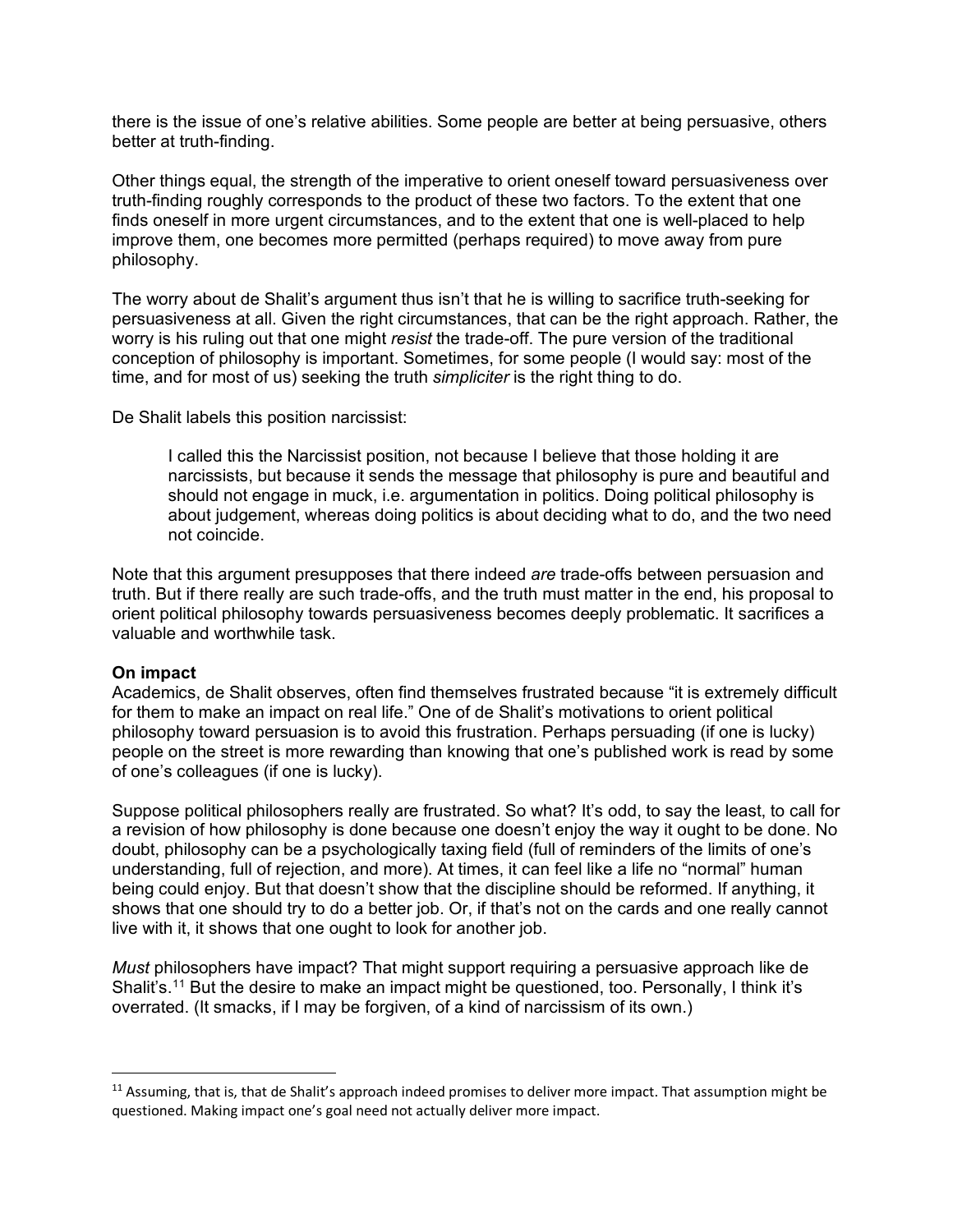there is the issue of one's relative abilities. Some people are better at being persuasive, others better at truth-finding.

Other things equal, the strength of the imperative to orient oneself toward persuasiveness over truth-finding roughly corresponds to the product of these two factors. To the extent that one finds oneself in more urgent circumstances, and to the extent that one is well-placed to help improve them, one becomes more permitted (perhaps required) to move away from pure philosophy.

The worry about de Shalit's argument thus isn't that he is willing to sacrifice truth-seeking for persuasiveness at all. Given the right circumstances, that can be the right approach. Rather, the worry is his ruling out that one might *resist* the trade-off. The pure version of the traditional conception of philosophy is important. Sometimes, for some people (I would say: most of the time, and for most of us) seeking the truth *simpliciter* is the right thing to do.

De Shalit labels this position narcissist:

I called this the Narcissist position, not because I believe that those holding it are narcissists, but because it sends the message that philosophy is pure and beautiful and should not engage in muck, i.e. argumentation in politics. Doing political philosophy is about judgement, whereas doing politics is about deciding what to do, and the two need not coincide.

Note that this argument presupposes that there indeed *are* trade-offs between persuasion and truth. But if there really are such trade-offs, and the truth must matter in the end, his proposal to orient political philosophy towards persuasiveness becomes deeply problematic. It sacrifices a valuable and worthwhile task.

#### **On impact**

Academics, de Shalit observes, often find themselves frustrated because "it is extremely difficult for them to make an impact on real life." One of de Shalit's motivations to orient political philosophy toward persuasion is to avoid this frustration. Perhaps persuading (if one is lucky) people on the street is more rewarding than knowing that one's published work is read by some of one's colleagues (if one is lucky).

Suppose political philosophers really are frustrated. So what? It's odd, to say the least, to call for a revision of how philosophy is done because one doesn't enjoy the way it ought to be done. No doubt, philosophy can be a psychologically taxing field (full of reminders of the limits of one's understanding, full of rejection, and more). At times, it can feel like a life no "normal" human being could enjoy. But that doesn't show that the discipline should be reformed. If anything, it shows that one should try to do a better job. Or, if that's not on the cards and one really cannot live with it, it shows that one ought to look for another job.

*Must* philosophers have impact? That might support requiring a persuasive approach like de Shalit's.<sup>[11](#page-8-0)</sup> But the desire to make an impact might be questioned, too. Personally, I think it's overrated. (It smacks, if I may be forgiven, of a kind of narcissism of its own.)

<span id="page-8-0"></span> $11$  Assuming, that is, that de Shalit's approach indeed promises to deliver more impact. That assumption might be questioned. Making impact one's goal need not actually deliver more impact.